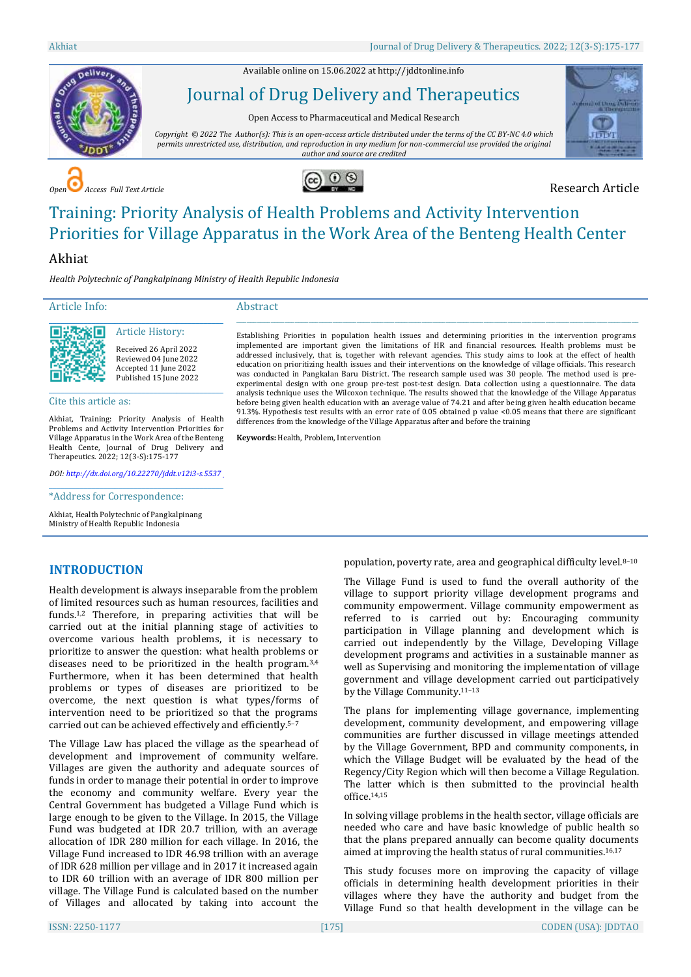Available online on 15.06.2022 a[t http://jddtonline.info](http://jddtonline.info/)



# Journal of Drug Delivery and Therapeutics

Open Access to Pharmaceutical and Medical Research

*Copyright © 2022 The Author(s): This is an open-access article distributed under the terms of the CC BY-NC 4.0 which permits unrestricted use, distribution, and reproduction in any medium for non-commercial use provided the original author and source are credited*



**COPEN Access Full Text Article Research Article** 



# Training: Priority Analysis of Health Problems and Activity Intervention Priorities for Village Apparatus in the Work Area of the Benteng Health Center

# Akhiat

*Health Polytechnic of Pangkalpinang Ministry of Health Republic Indonesia*

### Article Info:

回決交終回

#### \_\_\_\_\_\_\_\_\_\_\_\_\_\_\_\_\_\_\_\_\_\_\_\_\_\_\_\_\_\_\_\_\_\_\_\_\_\_\_\_\_\_\_\_\_ Article History:

Received 26 April 2022 Reviewed 04 June 2022 Accepted 11 June 2022 Published 15 June 2022

Cite this article as:

Akhiat, Training: Priority Analysis of Health Problems and Activity Intervention Priorities for Village Apparatus in the Work Area of the Benteng Health Cente, Journal of Drug Delivery and Therapeutics. 2022; 12(3-S):175-177

\_\_\_\_\_\_\_\_\_\_\_\_\_\_\_\_\_\_\_\_\_\_\_\_\_\_\_\_\_\_\_\_\_\_\_\_\_\_\_\_\_\_\_\_\_

*DOI[: http://dx.doi.org/10.22270/jddt.v12i3-s.5537](http://dx.doi.org/10.22270/jddt.v12i3-s.5537)*  \_\_\_\_\_\_\_\_\_\_\_\_\_\_\_\_\_\_\_\_\_\_\_\_\_\_\_\_\_\_\_\_\_\_\_\_\_\_\_\_\_\_\_\_\_

\*Address for Correspondence:

Akhiat, Health Polytechnic of Pangkalpinang Ministry of Health Republic Indonesia

## **INTRODUCTION**

Health development is always inseparable from the problem of limited resources such as human resources, facilities and funds. 1,2 Therefore, in preparing activities that will be carried out at the initial planning stage of activities to overcome various health problems, it is necessary to prioritize to answer the question: what health problems or diseases need to be prioritized in the health program.3,4 Furthermore, when it has been determined that health problems or types of diseases are prioritized to be overcome, the next question is what types/forms of intervention need to be prioritized so that the programs carried out can be achieved effectively and efficiently.5–<sup>7</sup>

The Village Law has placed the village as the spearhead of development and improvement of community welfare. Villages are given the authority and adequate sources of funds in order to manage their potential in order to improve the economy and community welfare. Every year the Central Government has budgeted a Village Fund which is large enough to be given to the Village. In 2015, the Village Fund was budgeted at IDR 20.7 trillion, with an average allocation of IDR 280 million for each village. In 2016, the Village Fund increased to IDR 46.98 trillion with an average of IDR 628 million per village and in 2017 it increased again to IDR 60 trillion with an average of IDR 800 million per village. The Village Fund is calculated based on the number of Villages and allocated by taking into account the

Abstract

Establishing Priorities in population health issues and determining priorities in the intervention programs implemented are important given the limitations of HR and financial resources. Health problems must be addressed inclusively, that is, together with relevant agencies. This study aims to look at the effect of health education on prioritizing health issues and their interventions on the knowledge of village officials. This research was conducted in Pangkalan Baru District. The research sample used was 30 people. The method used is preexperimental design with one group pre-test post-test design. Data collection using a questionnaire. The data analysis technique uses the Wilcoxon technique. The results showed that the knowledge of the Village Apparatus before being given health education with an average value of 74.21 and after being given health education became 91.3%. Hypothesis test results with an error rate of 0.05 obtained p value <0.05 means that there are significant differences from the knowledge of the Village Apparatus after and before the training

 $\_$  , and the set of the set of the set of the set of the set of the set of the set of the set of the set of the set of the set of the set of the set of the set of the set of the set of the set of the set of the set of th

**Keywords:** Health, Problem, Intervention

population, poverty rate, area and geographical difficulty level.8–<sup>10</sup>

The Village Fund is used to fund the overall authority of the village to support priority village development programs and community empowerment. Village community empowerment as referred to is carried out by: Encouraging community participation in Village planning and development which is carried out independently by the Village, Developing Village development programs and activities in a sustainable manner as well as Supervising and monitoring the implementation of village government and village development carried out participatively by the Village Community.11–<sup>13</sup>

The plans for implementing village governance, implementing development, community development, and empowering village communities are further discussed in village meetings attended by the Village Government, BPD and community components, in which the Village Budget will be evaluated by the head of the Regency/City Region which will then become a Village Regulation. The latter which is then submitted to the provincial health office. 14,15

In solving village problems in the health sector, village officials are needed who care and have basic knowledge of public health so that the plans prepared annually can become quality documents aimed at improving the health status of rural communities.16,17

This study focuses more on improving the capacity of village officials in determining health development priorities in their villages where they have the authority and budget from the Village Fund so that health development in the village can be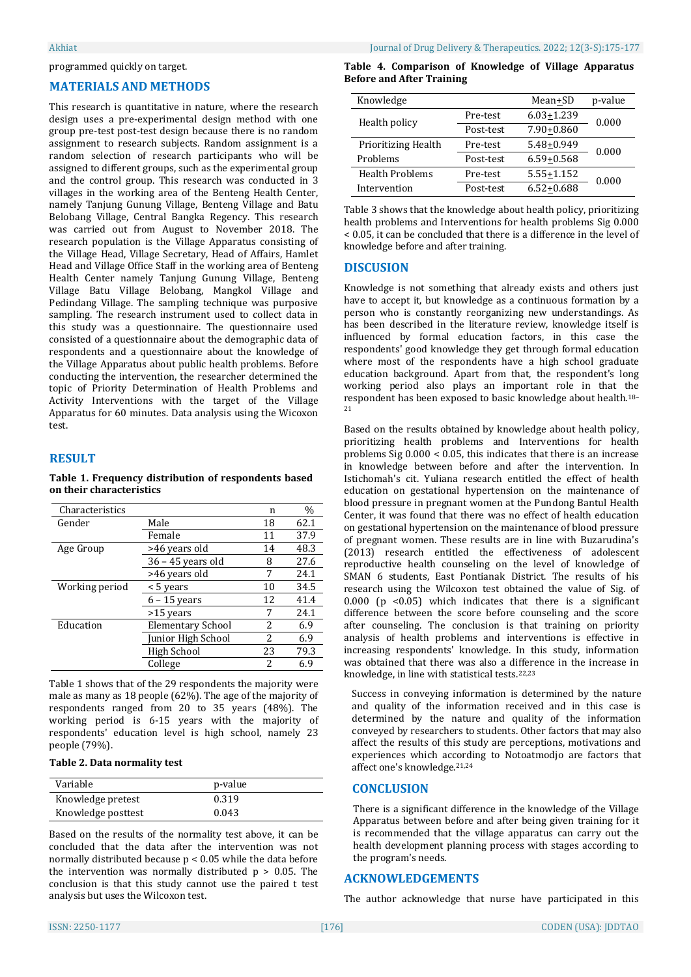#### programmed quickly on target.

# **MATERIALS AND METHODS**

This research is quantitative in nature, where the research design uses a pre-experimental design method with one group pre-test post-test design because there is no random assignment to research subjects. Random assignment is a random selection of research participants who will be assigned to different groups, such as the experimental group and the control group. This research was conducted in 3 villages in the working area of the Benteng Health Center, namely Tanjung Gunung Village, Benteng Village and Batu Belobang Village, Central Bangka Regency. This research was carried out from August to November 2018. The research population is the Village Apparatus consisting of the Village Head, Village Secretary, Head of Affairs, Hamlet Head and Village Office Staff in the working area of Benteng Health Center namely Tanjung Gunung Village, Benteng Village Batu Village Belobang, Mangkol Village and Pedindang Village. The sampling technique was purposive sampling. The research instrument used to collect data in this study was a questionnaire. The questionnaire used consisted of a questionnaire about the demographic data of respondents and a questionnaire about the knowledge of the Village Apparatus about public health problems. Before conducting the intervention, the researcher determined the topic of Priority Determination of Health Problems and Activity Interventions with the target of the Village Apparatus for 60 minutes. Data analysis using the Wicoxon test.

#### **RESULT**

#### **Table 1. Frequency distribution of respondents based on their characteristics**

| Characteristics |                          | n  | $\frac{0}{0}$ |
|-----------------|--------------------------|----|---------------|
| Gender          | Male                     | 18 | 62.1          |
|                 | Female                   | 11 | 37.9          |
| Age Group       | >46 years old            | 14 | 48.3          |
|                 | $36 - 45$ years old      | 8  | 27.6          |
|                 | >46 years old            |    | 24.1          |
| Working period  | < 5 years                | 10 | 34.5          |
|                 | $6 - 15$ years           | 12 | 41.4          |
|                 | $>15$ years              | 7  | 24.1          |
| Education       | <b>Elementary School</b> | 2  | 6.9           |
|                 | Junior High School       | 2  | 6.9           |
|                 | High School              | 23 | 79.3          |
|                 | College                  | 2  | 6.9           |

Table 1 shows that of the 29 respondents the majority were male as many as 18 people (62%). The age of the majority of respondents ranged from 20 to 35 years (48%). The working period is 6-15 years with the majority of respondents' education level is high school, namely 23 people (79%).

#### **Table 2. Data normality test**

| Variable           | p-value |
|--------------------|---------|
| Knowledge pretest  | 0.319   |
| Knowledge posttest | 0.043   |

Based on the results of the normality test above, it can be concluded that the data after the intervention was not normally distributed because p < 0.05 while the data before the intervention was normally distributed  $p > 0.05$ . The conclusion is that this study cannot use the paired t test analysis but uses the Wilcoxon test.

|  | Table 4. Comparison of Knowledge of Village Apparatus |  |  |  |
|--|-------------------------------------------------------|--|--|--|
|  | <b>Before and After Training</b>                      |  |  |  |

| Knowledge                  |           | Mean+SD        | p-value |  |
|----------------------------|-----------|----------------|---------|--|
| Health policy              | Pre-test  | $6.03 + 1.239$ | 0.000   |  |
|                            | Post-test | 7.90+0.860     |         |  |
| <b>Prioritizing Health</b> | Pre-test  | 5.48+0.949     | 0.000   |  |
| Problems                   | Post-test | $6.59 + 0.568$ |         |  |
| <b>Health Problems</b>     | Pre-test  | 5.55+1.152     | 0.000   |  |
| Intervention               | Post-test | $6.52 + 0.688$ |         |  |

Table 3 shows that the knowledge about health policy, prioritizing health problems and Interventions for health problems Sig 0.000 < 0.05, it can be concluded that there is a difference in the level of knowledge before and after training.

#### **DISCUSION**

Knowledge is not something that already exists and others just have to accept it, but knowledge as a continuous formation by a person who is constantly reorganizing new understandings. As has been described in the literature review, knowledge itself is influenced by formal education factors, in this case the respondents' good knowledge they get through formal education where most of the respondents have a high school graduate education background. Apart from that, the respondent's long working period also plays an important role in that the respondent has been exposed to basic knowledge about health.18– 21

Based on the results obtained by knowledge about health policy, prioritizing health problems and Interventions for health problems Sig 0.000 < 0.05, this indicates that there is an increase in knowledge between before and after the intervention. In Istichomah's cit. Yuliana research entitled the effect of health education on gestational hypertension on the maintenance of blood pressure in pregnant women at the Pundong Bantul Health Center, it was found that there was no effect of health education on gestational hypertension on the maintenance of blood pressure of pregnant women. These results are in line with Buzarudina's (2013) research entitled the effectiveness of adolescent reproductive health counseling on the level of knowledge of SMAN 6 students, East Pontianak District. The results of his research using the Wilcoxon test obtained the value of Sig. of 0.000 ( $p \le 0.05$ ) which indicates that there is a significant difference between the score before counseling and the score after counseling. The conclusion is that training on priority analysis of health problems and interventions is effective in increasing respondents' knowledge. In this study, information was obtained that there was also a difference in the increase in knowledge, in line with statistical tests.22,23

Success in conveying information is determined by the nature and quality of the information received and in this case is determined by the nature and quality of the information conveyed by researchers to students. Other factors that may also affect the results of this study are perceptions, motivations and experiences which according to Notoatmodjo are factors that affect one's knowledge.21,24

#### **CONCLUSION**

There is a significant difference in the knowledge of the Village Apparatus between before and after being given training for it is recommended that the village apparatus can carry out the health development planning process with stages according to the program's needs.

#### **ACKNOWLEDGEMENTS**

The author acknowledge that nurse have participated in this